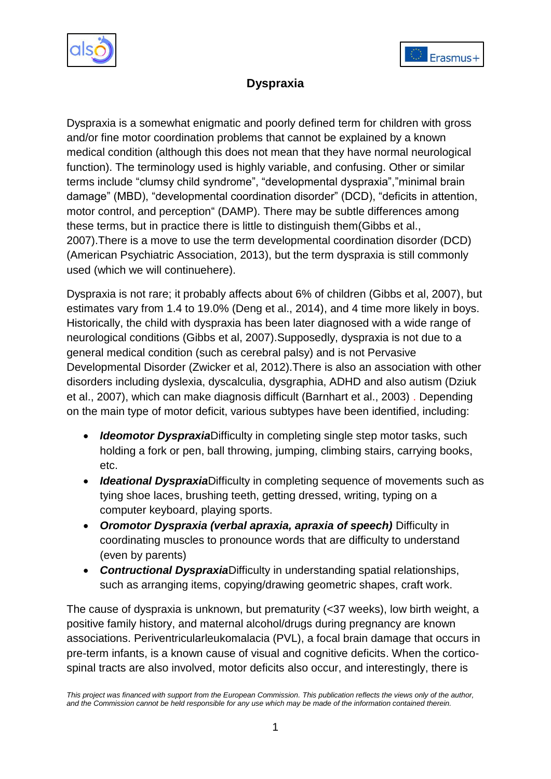



# **Dyspraxia**

Dyspraxia is a somewhat enigmatic and poorly defined term for children with gross and/or fine motor coordination problems that cannot be explained by a known medical condition (although this does not mean that they have normal neurological function). The terminology used is highly variable, and confusing. Other or similar terms include "clumsy child syndrome", "developmental dyspraxia","minimal brain damage" (MBD), "developmental coordination disorder" (DCD), "deficits in attention, motor control, and perception" (DAMP). There may be subtle differences among these terms, but in practice there is little to distinguish them(Gibbs et al., 2007).There is a move to use the term developmental coordination disorder (DCD) (American Psychiatric Association, 2013), but the term dyspraxia is still commonly used (which we will continuehere).

Dyspraxia is not rare; it probably affects about 6% of children (Gibbs et al, 2007), but estimates vary from 1.4 to 19.0% (Deng et al., 2014), and 4 time more likely in boys. Historically, the child with dyspraxia has been later diagnosed with a wide range of neurological conditions (Gibbs et al, 2007).Supposedly, dyspraxia is not due to a general medical condition (such as cerebral palsy) and is not Pervasive Developmental Disorder (Zwicker et al, 2012).There is also an association with other disorders including dyslexia, dyscalculia, dysgraphia, ADHD and also autism (Dziuk et al., 2007), which can make diagnosis difficult (Barnhart et al., 2003) . Depending on the main type of motor deficit, various subtypes have been identified, including:

- *Ideomotor DyspraxiaDifficulty in completing single step motor tasks, such* holding a fork or pen, ball throwing, jumping, climbing stairs, carrying books, etc.
- *Ideational Dyspraxia*Difficulty in completing sequence of movements such as tying shoe laces, brushing teeth, getting dressed, writing, typing on a computer keyboard, playing sports.
- *Oromotor Dyspraxia (verbal apraxia, apraxia of speech)* Difficulty in coordinating muscles to pronounce words that are difficulty to understand (even by parents)
- *Contructional Dyspraxia*Difficulty in understanding spatial relationships, such as arranging items, copying/drawing geometric shapes, craft work.

The cause of dyspraxia is unknown, but prematurity (<37 weeks), low birth weight, a positive family history, and maternal alcohol/drugs during pregnancy are known associations. Periventricularleukomalacia (PVL), a focal brain damage that occurs in pre-term infants, is a known cause of visual and cognitive deficits. When the corticospinal tracts are also involved, motor deficits also occur, and interestingly, there is

*This project was financed with support from the European Commission. This publication reflects the views only of the author, and the Commission cannot be held responsible for any use which may be made of the information contained therein.*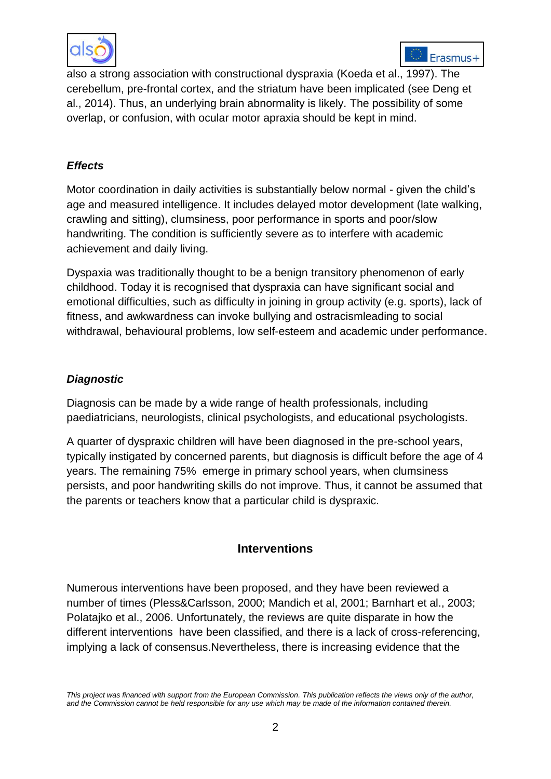



also a strong association with constructional dyspraxia (Koeda et al., 1997). The cerebellum, pre-frontal cortex, and the striatum have been implicated (see Deng et al., 2014). Thus, an underlying brain abnormality is likely. The possibility of some overlap, or confusion, with ocular motor apraxia should be kept in mind.

### *Effects*

Motor coordination in daily activities is substantially below normal - given the child's age and measured intelligence. It includes delayed motor development (late walking, crawling and sitting), clumsiness, poor performance in sports and poor/slow handwriting. The condition is sufficiently severe as to interfere with academic achievement and daily living.

Dyspaxia was traditionally thought to be a benign transitory phenomenon of early childhood. Today it is recognised that dyspraxia can have significant social and emotional difficulties, such as difficulty in joining in group activity (e.g. sports), lack of fitness, and awkwardness can invoke bullying and ostracismleading to social withdrawal, behavioural problems, low self-esteem and academic under performance.

## *Diagnostic*

Diagnosis can be made by a wide range of health professionals, including paediatricians, neurologists, clinical psychologists, and educational psychologists.

A quarter of dyspraxic children will have been diagnosed in the pre-school years, typically instigated by concerned parents, but diagnosis is difficult before the age of 4 years. The remaining 75% emerge in primary school years, when clumsiness persists, and poor handwriting skills do not improve. Thus, it cannot be assumed that the parents or teachers know that a particular child is dyspraxic.

## **Interventions**

Numerous interventions have been proposed, and they have been reviewed a number of times (Pless&Carlsson, 2000; Mandich et al, 2001; Barnhart et al., 2003; Polatajko et al., 2006. Unfortunately, the reviews are quite disparate in how the different interventions have been classified, and there is a lack of cross-referencing, implying a lack of consensus.Nevertheless, there is increasing evidence that the

*This project was financed with support from the European Commission. This publication reflects the views only of the author, and the Commission cannot be held responsible for any use which may be made of the information contained therein.*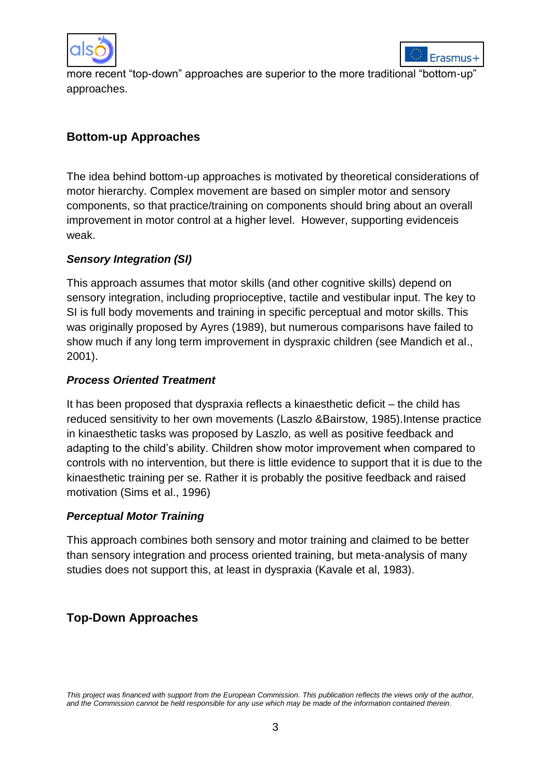



more recent "top-down" approaches are superior to the more traditional "bottom-up" approaches.

## **Bottom-up Approaches**

The idea behind bottom-up approaches is motivated by theoretical considerations of motor hierarchy. Complex movement are based on simpler motor and sensory components, so that practice/training on components should bring about an overall improvement in motor control at a higher level. However, supporting evidenceis weak.

### *Sensory Integration (SI)*

This approach assumes that motor skills (and other cognitive skills) depend on sensory integration, including proprioceptive, tactile and vestibular input. The key to SI is full body movements and training in specific perceptual and motor skills. This was originally proposed by Ayres (1989), but numerous comparisons have failed to show much if any long term improvement in dyspraxic children (see Mandich et al., 2001).

## *Process Oriented Treatment*

It has been proposed that dyspraxia reflects a kinaesthetic deficit – the child has reduced sensitivity to her own movements (Laszlo &Bairstow, 1985).Intense practice in kinaesthetic tasks was proposed by Laszlo, as well as positive feedback and adapting to the child's ability. Children show motor improvement when compared to controls with no intervention, but there is little evidence to support that it is due to the kinaesthetic training per se. Rather it is probably the positive feedback and raised motivation (Sims et al., 1996)

### *Perceptual Motor Training*

This approach combines both sensory and motor training and claimed to be better than sensory integration and process oriented training, but meta-analysis of many studies does not support this, at least in dyspraxia (Kavale et al, 1983).

# **Top-Down Approaches**

*This project was financed with support from the European Commission. This publication reflects the views only of the author, and the Commission cannot be held responsible for any use which may be made of the information contained therein.*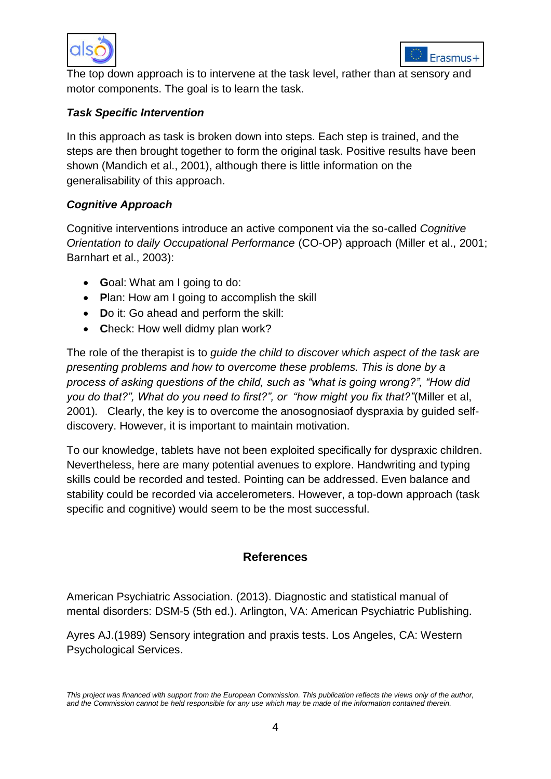



The top down approach is to intervene at the task level, rather than at sensory and motor components. The goal is to learn the task.

### *Task Specific Intervention*

In this approach as task is broken down into steps. Each step is trained, and the steps are then brought together to form the original task. Positive results have been shown (Mandich et al., 2001), although there is little information on the generalisability of this approach.

### *Cognitive Approach*

Cognitive interventions introduce an active component via the so-called *Cognitive Orientation to daily Occupational Performance* (CO-OP) approach (Miller et al., 2001; Barnhart et al., 2003):

- **G**oal: What am I going to do:
- **P**lan: How am I going to accomplish the skill
- **D**o it: Go ahead and perform the skill:
- Check: How well didmy plan work?

The role of the therapist is to *guide the child to discover which aspect of the task are presenting problems and how to overcome these problems. This is done by a process of asking questions of the child, such as "what is going wrong?", "How did you do that?", What do you need to first?", or "how might you fix that?"*(Miller et al, 2001)*.* Clearly, the key is to overcome the anosognosiaof dyspraxia by guided selfdiscovery. However, it is important to maintain motivation.

To our knowledge, tablets have not been exploited specifically for dyspraxic children. Nevertheless, here are many potential avenues to explore. Handwriting and typing skills could be recorded and tested. Pointing can be addressed. Even balance and stability could be recorded via accelerometers. However, a top-down approach (task specific and cognitive) would seem to be the most successful.

### **References**

American Psychiatric Association. (2013). Diagnostic and statistical manual of mental disorders: DSM-5 (5th ed.). Arlington, VA: American Psychiatric Publishing.

Ayres AJ.(1989) Sensory integration and praxis tests. Los Angeles, CA: Western Psychological Services.

*This project was financed with support from the European Commission. This publication reflects the views only of the author, and the Commission cannot be held responsible for any use which may be made of the information contained therein.*